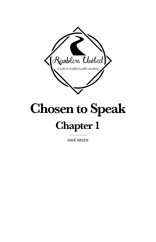

# Chosen to Speak

## Chapter 1

DAVE ARDEN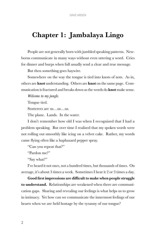### Chapter 1: Jambalaya Lingo

People are not generally born with jumbled speaking patterns. Newborns communicate in many ways without even uttering a word. Cries for dinner and burps when full usually send a clear and true message.

But then something goes haywire.

Somewhere on the way the tongue is tied into knots of nots. As in, others are **knot** understanding. Others are **knot** on the same page. Communication is fractured and breaks down as the words do **knot** make sense.

*Welcome to my jungle.*

Tongue tied.

Stutterers are us…us…us.

The plane. Lands. In the water.

I don't remember how old I was when I recognized that I had a problem speaking. But over time I realized that my spoken words were not rolling out smoothly like icing on a velvet cake. Rather, my words came flying often like a haphazard pepper spray.

"Can you repeat that?"

"Pardon me?"

"Say what?"

I've heard it not once, not a hundred times, but thousands of times. On average, it's about 3 times a week. Sometimes I hear it 2 or 3 times a day.

Good first impressions are difficult to make when people struggle to understand. Relationships are weakened when there are communication gaps. Sharing and revealing our feelings is what helps us to grow in intimacy. Yet how can we communicate the innermost feelings of our hearts when we are held hostage by the tyranny of our tongue?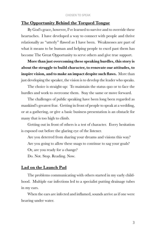#### The Opportunity Behind the Torqued Tongue

By God's grace, however, I've learned to survive and to override these heartaches. I have developed a way to connect with people and thrive relationally as "utterly" flawed as I have been. Weaknesses are part of what it means to be human and helping people to excel past them has become The Great Opportunity to serve others and give true support.

More than just overcoming these speaking hurdles, this story is about the struggle to build character, to renovate our attitudes, to inspire vision, and to make an impact despite such flaws. More than just developing the speaker, the vision is to develop the leader who speaks.

The choice is straight-up: To maintain the status quo or to face the hurdles and work to overcome them. Stay the same or move forward.

The challenges of public speaking have been long been regarded as mankind's greatest fear. Getting in front of people to speak at a wedding, or at a gathering, or give a basic business presentation is an obstacle for many that is too high to climb.

Getting out in front of others is a test of character. Every hesitation is exposed out before the glaring eye of the listener.

Are you deterred from sharing your dreams and visions this way? Are you going to allow these snags to continue to sag your goals?

Or, are you ready for a change?

Do. Not. Stop. Reading. Now.

#### Lad on the Launch Pad

The problems communicating with others started in my early childhood. Multiple ear infections led to a specialist putting drainage tubes in my ears.

When the ears are infected and inflamed, sounds arrive as if one were hearing under water.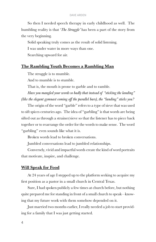#### DAVE ARDEN

So then I needed speech therapy in early childhood as well. The humbling reality is that '*The Struggle'* has been a part of the story from the very beginning.

Solid speaking truly comes as the result of solid listening.

I was under water in more ways than one.

Searching upward for air.

#### The Rambling Youth Becomes a Rambling Man

The struggle is to mumble.

And to mumble is to stumble.

That is, the mouth is prone to garble and to ramble.

*Have you mangled your words so badly that instead of "sticking the landing" (like the elegant gymnast coming off the parallel bars), the "landing" sticks you?*

The origin of the word "garble" refers to a type of sieve that was used to sift spices centuries ago. The idea of "garbling" is that words are being sifted out as through a strainer/sieve so that the listener has to piece back together or to rearrange the order for the words to make sense. The word "garbling" even sounds like what it is.

Broken words lead to broken conversations.

Jumbled conversations lead to jumbled relationships.

Conversely, vivid and impactful words create the kind of word portraits that motivate, inspire, and challenge.

#### Will Speak for Food

At 24 years of age I stepped up to the platform seeking to acquire my first position as a pastor in a small church in Central Texas.

Sure, I had spoken publicly a few times at church before, but nothing quite prepared me for standing in front of a small church to speak—knowing that my future work with them somehow depended on it.

Just married two months earlier, I really needed a job to start providing for a family that I was just getting started.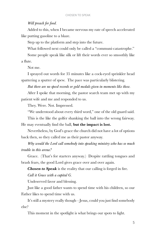#### *Will preach for food.*

Added to this, when I became nervous my rate of speech accelerated like putting gasoline to a blaze.

Step up to the platform and step into the future.

What followed next could only be called a "communi-catastrophe."

Some people speak like silk or lift their words ever so smoothly like a flute.

Not me.

I sprayed out words for 35 minutes like a cock-eyed sprinkler head spattering a sputter of spew. The pace was particularly blistering.

*But there are no speed records or gold medals given in moments like these.*

After I spoke that morning, the pastor search team met up with my patient wife and me and responded to us.

They. Were. Not. Impressed.

"We understood about every third word," one of the old guard said.

This is the like the golfer shanking the ball into the wrong fairway. He may eventually find the ball, but the impact is lost.

Nevertheless, by God's grace the church did not have a lot of options back then, so they called me as their pastor anyway.

*Why would the Lord call somebody into speaking ministry who has so much trouble in this arena?*

Grace. (That's for starters anyway.) Despite rattling tongues and brash fears, the good Lord gives grace over and over again.

Chosen to Speak is the reality that our calling is forged in fire.

*Call it Grace with a capital G.*

Undeserved favor and blessing.

Just like a good father wants to spend time with his children, so our Father likes to spend time with us.

It's still a mystery really though—Jesus, could you just find somebody else?

This moment in the spotlight is what brings our spots to light.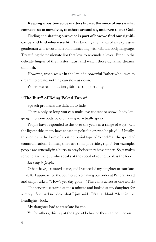#### DAVE ARDEN

Keeping a positive voice matters because this voice of ours is what connects us to ourselves, to others around us, and even to our God.

Finding and sharing our voice is part of how we find our significance and find where we fit. Try binding the hands of an expressive gentleman whose custom is communicating with vibrant body language. Try stifling the passionate lips that love to serenade a lover. Bind up the delicate fingers of the master flutist and watch those dynamic dreams diminish.

However, when we sit in the lap of a powerful Father who loves to dream, to create, nothing can slow us down.

Where we see limitations, faith sees opportunity.

#### "The Butt" of Being Poked Fun of

Speech problems are difficult to hide.

There's only so long you can make eye contact or show "body language" to somebody before having to actually speak.

People have responded to this over the years in a range of ways. On the lighter side, many have chosen to poke fun or even be playful. Usually, this comes in the form of a jesting, jovial type of "knock" at the speed of communication. I mean, there are some plus sides, right? For example, people are generally in a hurry to pray before they have dinner. So, it makes sense to ask the guy who speaks at the speed of sound to bless the food.

#### *Let's dig in people.*

Others have just stared at me, and I've needed my daughter to translate. In 2018, I approached the counter server taking our order at Panera Bread and simply asked, "How's-yer-day-goin?" (This came across as one word.)

The server just stared at me a minute and looked at my daughter for a reply. She had no idea what I just said. It's that blank "deer in the headlights" look.

My daughter had to translate for me.

Yet for others, this is just the type of behavior they can pounce on.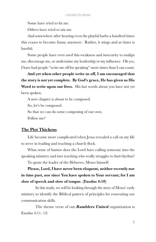Some have tried to fix me.

Others have tried to nix me.

And somewhere after hearing even the playful barbs a hundred times this ceases to become funny anymore. Rather, it stings and at times is hurtful.

Some people have even used this weakness and insecurity to malign me, discourage me, or undermine my leadership or my influence. Oh yes, I have had people "write me off for speaking" more times than I can count.

And yet when other people write us off, I am encouraged that the story is not yet complete. By God's grace, He has given us His Word to write upon our lives. His last words about you have not yet been spoken.

A new chapter is about to be composed.

So, let's be composed.

So that we can do some composing of our own.

Follow me?

#### The Plot Thickens

Life became more complicated when Jesus revealed a call on my life to serve in leading and teaching a church flock.

What sense of humor does the Lord have calling someone into the speaking ministry and into teaching who really struggles to find rhythm?

To quote the leader of the Hebrews, Moses himself:

Please, Lord, I have never been eloquent, neither recently nor in time past, nor since You have spoken to Your servant; for I am slow of speech and slow of tongue. (Exodus 4:10)

In this study, we will be looking through the story of Moses' early ministry to identify the Biblical pattern of principles for renovating our communication skills.

The theme verse of our **Ramblers United** organization is Exodus 4:11–12: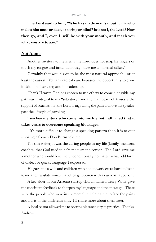The Lord said to him, "Who has made man's mouth? Or who makes him mute or deaf, or seeing or blind? Is it not I, the Lord? Now then go, and I, even I, will be with your mouth, and teach you what you are to say."

#### Not Alone

Another mystery to me is why the Lord does not snap his fingers or touch my tongue and instantaneously make me a "normal talker."

Certainly that would *seem* to be the most natural approach—or at least the easiest. Yet, any radical cure bypasses the opportunity to grow in faith, in character, and in leadership.

Thank Heaven God has chosen to use others to come alongside my pathway. Integral to my "sub-story" and the main story of Moses is the support of coaches that the Lord brings along the path to move the speaker past the lifestyle of garbling.

#### Two key mentors who came into my life both affirmed that it takes years to overcome speaking blockages.

"It's more difficult to change a speaking pattern than it is to quit smoking," Coach Don Burns told me.

For this writer, it was the caring people in my life (family, mentors, coaches) that God used to help me turn the corner. The Lord gave me a mother who would love me unconditionally no matter what odd form of dialect or quirky language I expressed.

He gave me a wife and children who had to work extra hard to listen to me and translate words that often get spoken with a curveball type bent.

A key elder in our Arizona startup church named Terry Witte gave me consistent feedback to sharpen my language and the message. These were the people who were instrumental in helping me to face the pains and hurts of the undercurrents. I'll share more about them later.

A local pastor allowed me to borrow his sanctuary to practice. Thanks, Andrew.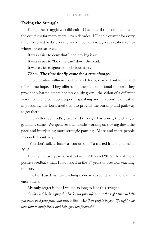#### Facing the Struggle

Facing the struggle was difficult. I had heard the complaints and the criticisms for many years—even decades. If I had a quarter for every time I received barbs over the years, I could take a great vacation somewhere—overseas even.

It was easier to deny that I had any big issue.

It was easier to "kick the can" down the road.

It was easier to ignore the obvious signs.

#### Then. The time finally came for a true change.

These positive influencers, Don and Terry, reached out to me and offered me hope. They offered me their unconditional support; they provided what no others had previously given—the vision of a different world for me to connect deeper in speaking and relationships. Just as importantly, the Lord used them to provide the onramp and pathway to get there.

Thereafter, by God's grace, and through His Spirit, the changes gradually came. We spent several months working on slowing down the pace and interjecting more strategic pausing. More and more people responded positively.

"You don't talk as funny as you used to," a trusted friend told me in 2013.

During the two year period between 2013 and 2015 I heard more positive feedback than I had heard in the 17 years of previous teaching ministry.

The Lord used my new teaching approach to build faith and to influence others.

My only regret is that I waited so long to face this struggle.

*Could God be bringing this book into your life at just the right time to help you move past your fears and insecurities? Are there people in your life right now who will lovingly listen and help give you feedback?*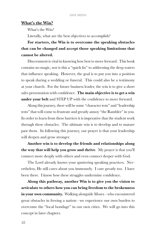#### What's the Win?

What's the Win?

Literally, what are the best objectives to accomplish?

#### For starters, the Win is to overcome the speaking obstacles that can be changed and accept those speaking limitations that cannot be altered.

Discernment is vital in knowing how best to move forward. This book contains no magic, nor is this a "quick fix" to addressing the deep waters that influence speaking. However, the goal is to put you into a position to speak during a wedding or funeral. This could also be a testimony at your church. For the future business leader, the win is to give a short sales presentation with confidence. The main objective is to get a win under your belt and STEP UP with the confidence to move forward.

Along this journey, there will be some "character tests" and "leadership tests" that will come to frustrate and greatly annoy "the Rambler" in you. In order to learn from these barriers it is imperative that the student work through these obstacles. The ultimate win is to develop and to mature past them. In following this journey, our prayer is that your leadership will deepen and grow stronger.

Another win is to develop the friends and relationships along the way that will help you grow and thrive. My prayer is that you'll connect more deeply with others and even connect deeper with God.

The Lord already knows your sputtering speaking practices. Nevertheless, He still cares about you immensely. I care greatly too. I have been there. I know how these struggles undermine confidence.

Along this pathway, another Win is to give you the vision to articulate to others how you can bring freedom to the brokenness in your own community. Walking alongside Moses—who encountered great obstacles in freeing a nation—we experience our own burden to overcome the "local bondage" in our own cities. We will go into this concept in later chapters.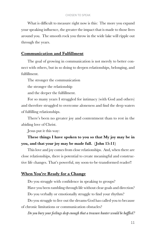What is difficult to measure right now is this: The more you expand your speaking influence, the greater the impact that is made to those lives around you. The smooth rock you throw in the wide lake will ripple out through the years.

#### Communication and Fulfillment

The goal of growing in communication is not merely to better connect with others, but in so doing to deepen relationships, belonging, and fulfillment.

The stronger the communication the stronger the relationship and the deeper the fulfillment.

For so many years I struggled for intimacy (with God and others) and therefore struggled to overcome aloneness and find the deep waters of fulfilling relationships.

There's been no greater joy and contentment than to rest in the abiding love of Christ.

Jesus put it this way:

#### These things I have spoken to you so that My joy may be in you, and that your joy may be made full. (John 15:11)

This love and joy comes from close relationships. And, when there are close relationships, there is potential to create meaningful and constructive life changes. That's powerful, my soon-to-be-transformed reader!!

#### When You're Ready for a Change

Do you struggle with confidence in speaking to groups? Have you been rambling through life without clear goals and direction? Do you verbally or emotionally struggle to find your rhythm? Do you struggle to live out the dreams God has called you to because of chronic limitations or communication obstacles?

*Do you bury your feelings deep enough that a treasure hunter would be baffled?*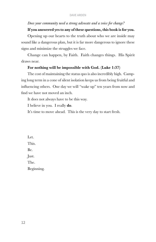#### *Does your community need a strong advocate and a voice for change?*

#### If you answered yes to any of these questions, this book is for you.

Opening up our hearts to the truth about who we are inside may sound like a dangerous plan, but it is far more dangerous to ignore these signs and minimize the struggles we face.

Change can happen, by Faith. Faith changes things. His Spirit draws near.

#### For nothing will be impossible with God. (Luke 1:37)

The cost of maintaining the status quo is also incredibly high. Camping long term in a cone of silent isolation keeps us from being fruitful and influencing others. One day we will "wake up" ten years from now and find we have not moved an inch.

It does not always have to be this way.

I believe in you. I really do.

It's time to move ahead. This is the very day to start fresh.

Let. This. Be. Just. The. Beginning.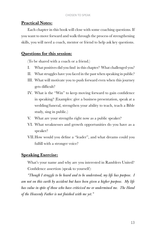#### Practical Notes:

Each chapter in this book will close with some coaching questions. If you want to move forward and walk through the process of strengthening skills, you will need a coach, mentor or friend to help ask key questions.

#### Questions for this session:

(To be shared with a coach or a friend.)

- I. What positives did you find in this chapter? What challenged you?
- II. What struggles have you faced in the past when speaking in public?
- III. What will motivate you to push forward even when this journey gets difficult?
- IV. What is the "Win" to keep moving forward to gain confidence in speaking? (Examples: give a business presentation, speak at a wedding/funeral, strengthen your ability to teach, teach a Bible study, sing in public.)
- V. What are your strengths right now as a public speaker?
- VI. What weaknesses and growth opportunities do you have as a speaker?
- VII.How would you define a "leader", and what dreams could you fulfill with a stronger voice?

#### Speaking Exercise:

What's your name and why are you interested in Ramblers United? Confidence assertion (speak to yourself):

*"Though I struggle to be heard and to be understood, my life has purpose. I am not on this earth by accident but have been given a higher purpose. My life has value in spite of those who have criticized me or undermined me. The Hand of the Heavenly Father is not finished with me yet."*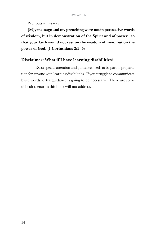Paul puts it this way:

[M]y message and my preaching were not in persuasive words of wisdom, but in demonstration of the Spirit and of power, so that your faith would not rest on the wisdom of men, but on the power of God. (1 Corinthians 2:3–4)

#### Disclaimer: What if I have learning disabilities?

Extra special attention and guidance needs to be part of preparation for anyone with learning disabilities. If you struggle to communicate basic words, extra guidance is going to be necessary. There are some difficult scenarios this book will not address.